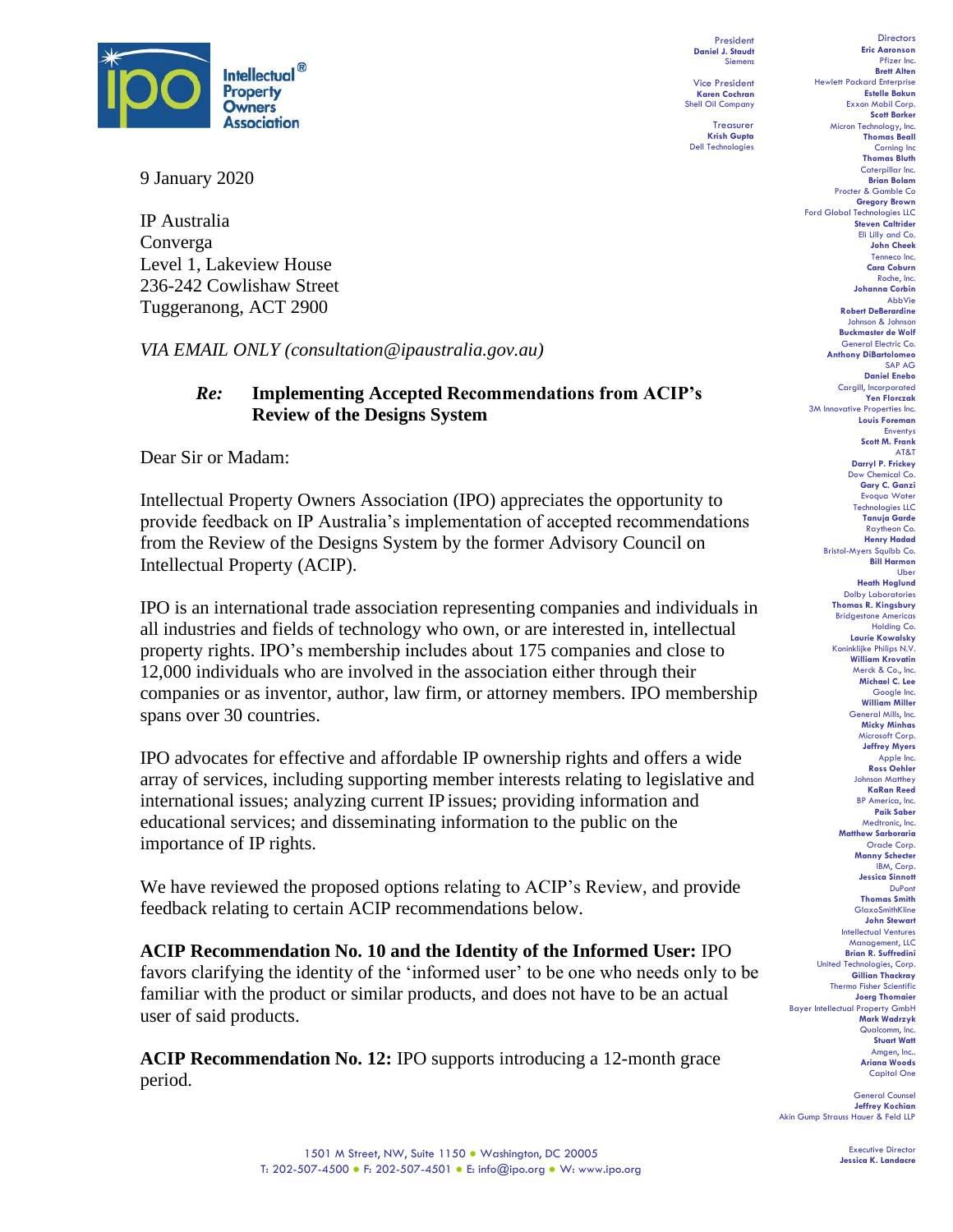

9 January 2020

IP Australia Converga Level 1, Lakeview House 236-242 Cowlishaw Street Tuggeranong, ACT 2900

*VIA EMAIL ONLY (consultation@ipaustralia.gov.au)*

## *Re:* **Implementing Accepted Recommendations from ACIP's Review of the Designs System**

Dear Sir or Madam:

Intellectual Property Owners Association (IPO) appreciates the opportunity to provide feedback on IP Australia's implementation of accepted recommendations from the Review of the Designs System by the former Advisory Council on Intellectual Property (ACIP).

IPO is an international trade association representing companies and individuals in all industries and fields of technology who own, or are interested in, intellectual property rights. IPO's membership includes about 175 companies and close to 12,000 individuals who are involved in the association either through their companies or as inventor, author, law firm, or attorney members. IPO membership spans over 30 countries.

IPO advocates for effective and affordable IP ownership rights and offers a wide array of services, including supporting member interests relating to legislative and international issues; analyzing current IP issues; providing information and educational services; and disseminating information to the public on the importance of IP rights.

We have reviewed the proposed options relating to ACIP's Review, and provide feedback relating to certain ACIP recommendations below.

**ACIP Recommendation No. 10 and the Identity of the Informed User:** IPO favors clarifying the identity of the 'informed user' to be one who needs only to be familiar with the product or similar products, and does not have to be an actual user of said products.

**ACIP Recommendation No. 12:** IPO supports introducing a 12-month grace period.

President **Daniel J. Staudt** Siemens

Vice President **Karen Cochran** Shell Oil Company

Treasurer **Krish Gupta** Dell Technologies

**Directors Eric Aaronson**  Pfizer Inc. **Brett Alten** Hewlett Packard Enterprise **Estelle Bakun** Exxon Mobil Corp. **Scott Barker** Micron Technology, Inc. **Thomas Beall** Corning Inc **Thomas Bluth** Caterpillar Inc. **Brian Bolam** Procter & Gamble Co **Gregory Brown** Ford Global Technologies LLC **Steven Caltrider** Eli Lilly and Co. **John Cheek** Tenneco Inc. **Cara Coburn** Roche, Inc. **Johanna Corbin** AbbVie **Robert DeBerardine** Johnson & Johnson **Buckmaster de Wolf** General Electric Co. **Anthony DiBartolomeo** SAP AG **Daniel Enebo** Cargill, Incorporated **Yen Florczak** 3M Innovative Properties Inc. **Louis Foreman** Enventys **Scott M. Frank** AT&T **Darryl P. Frickey** Dow Chemical Co. **Gary C. Ganzi** Evoqua Water Technologies LLC **Tanuja Garde** Raytheon Co. **Henry Hadad** Bristol-Myers Squibb Co. **Bill Harmon** Uber **Heath Hoglund** Dolby Laboratories **Thomas R. Kingsbury** Bridgestone Americas Holding Co. **Laurie Kowalsky** Koninklijke Philips N.V. **William Krovatin** Merck & Co., Inc. **Michael C. Lee** Google Inc. **William Miller** General Mills, Inc. **Micky Minhas** Microsoft Corp. **Jeffrey Myers** Apple Inc. **Ross Oehler** Johnson Matthey **KaRan Reed** BP America, Inc. **Paik Saber** Medtronic, Inc. **Matthew Sarboraria** Oracle Corp. **Manny Schecter** IBM, Corp. **Jessica Sinnott** DuPont **Thomas Smith** GlaxoSmithKline **John Stewart** Intellectual Ventures Management, LLC **Brian R. Suffredini** United Technologies, Corp. **Gillian Thackray** Thermo Fisher Scientific **Joerg Thomaier** Bayer Intellectual Property GmbH **Mark Wadrzyk** Qualcomm, Inc. **Stuart Watt** Amgen, Inc.. **Ariana Woods** Capital One

General Counsel **Jeffrey Kochian** Akin Gump Strauss Hauer & Feld LLP